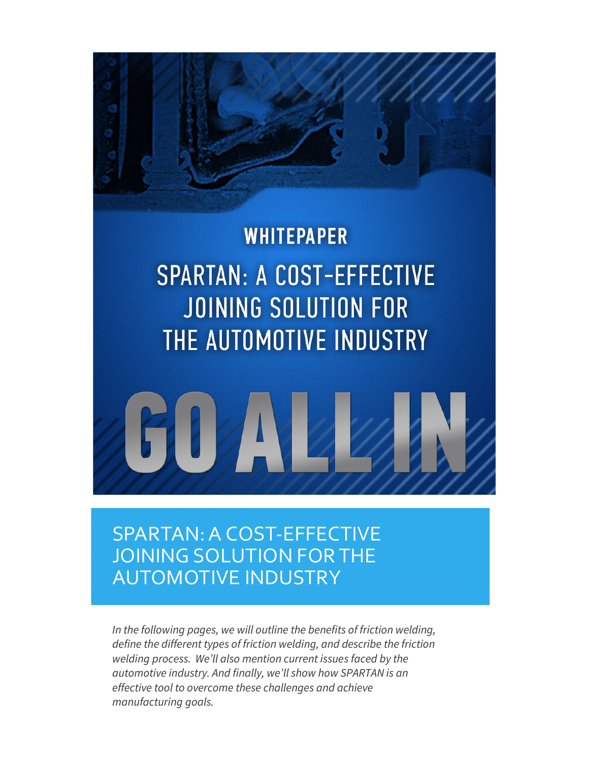

# **WHITEPAPER SPARTAN: A COST-EFFECTIVE JOINING SOLUTION FOR** THE AUTOMOTIVE INDUSTRY



# SPARTAN: A COST-EFFECTIVE JOINING SOLUTION FOR THE AUTOMOTIVE INDUSTRY

*In the following pages, we will outline the benefits of friction welding, define the different types of friction welding, and describe the friction welding process. We'll also mention current issues faced by the automotive industry. And finally, we'll show how SPARTAN is an effective tool to overcome these challenges and achieve manufacturing goals.*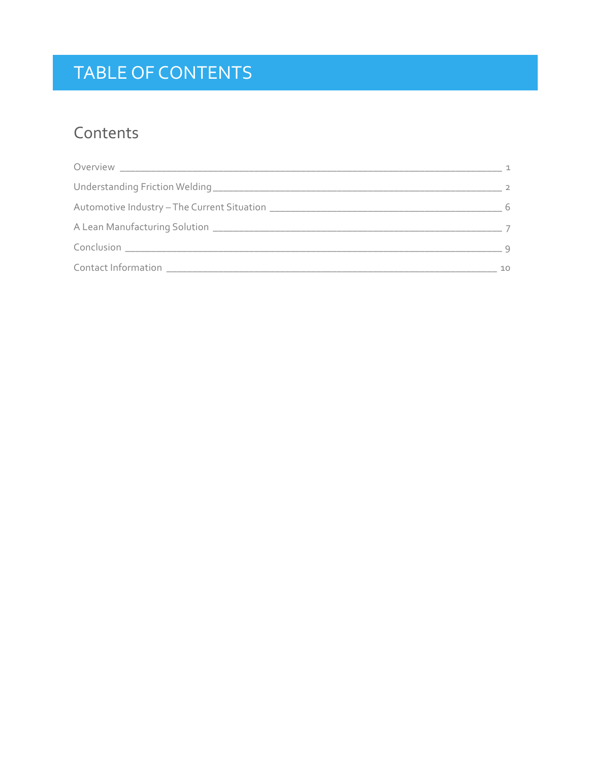# TABLE OF CONTENTS

## Contents

|                                              | - 6 |
|----------------------------------------------|-----|
|                                              |     |
|                                              |     |
| Contact Information<br><u>Les production</u> | 10  |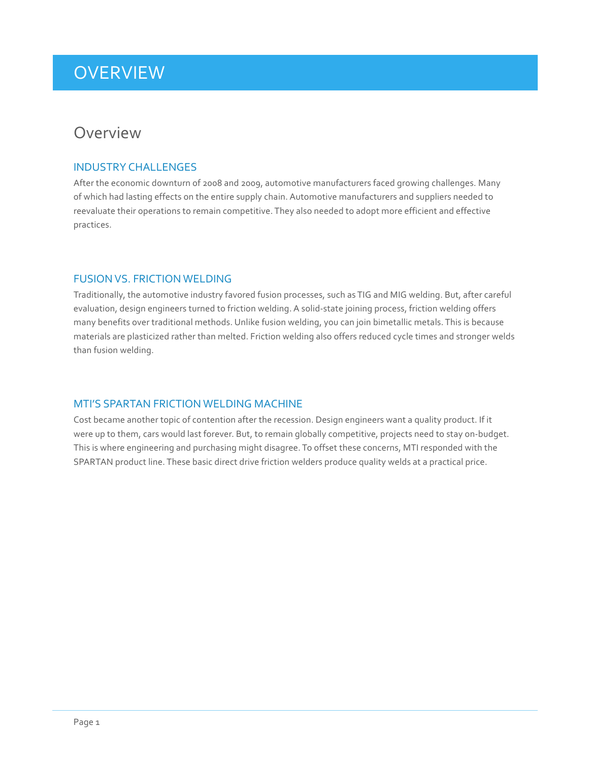### <span id="page-2-0"></span>**OVERVIEW**

### **Overview**

### INDUSTRY CHALLENGES

After the economic downturn of 2008 and 2009, automotive manufacturers faced growing challenges. Many of which had lasting effects on the entire supply chain. Automotive manufacturers and suppliers needed to reevaluate their operations to remain competitive. They also needed to adopt more efficient and effective practices.

### FUSION VS. FRICTION WELDING

Traditionally, the automotive industry favored fusion processes, such as TIG and MIG welding. But, after careful evaluation, design engineers turned to friction welding. A solid-state joining process, friction welding offers many benefits over traditional methods. Unlike fusion welding, you can join bimetallic metals. This is because materials are plasticized rather than melted. Friction welding also offers reduced cycle times and stronger welds than fusion welding.

### MTI'S SPARTAN FRICTION WELDING MACHINE

Cost became another topic of contention after the recession. Design engineers want a quality product. If it were up to them, cars would last forever. But, to remain globally competitive, projects need to stay on-budget. This is where engineering and purchasing might disagree. To offset these concerns, MTI responded with the SPARTAN product line. These basic direct drive friction welders produce quality welds at a practical price.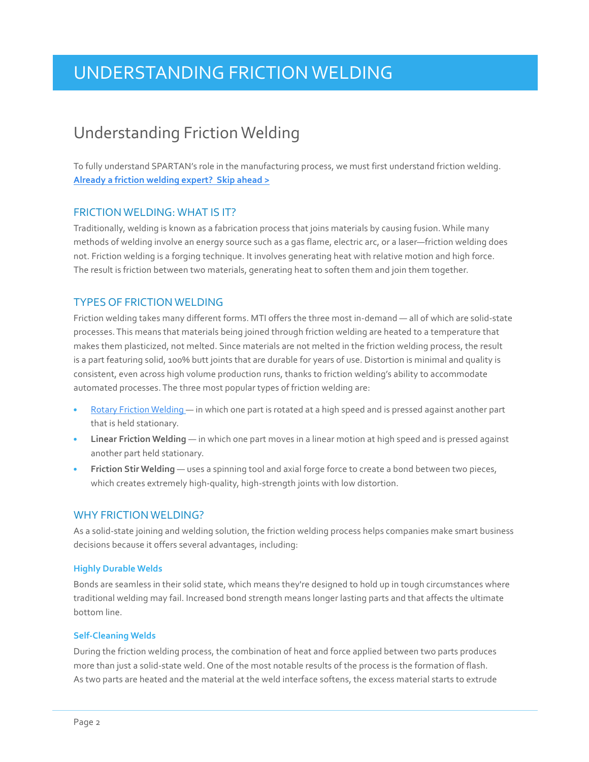### Understanding Friction Welding

To fully understand SPARTAN's role in the manufacturing process, we must first understand friction welding. **[Already a friction welding expert? Skip ahead >](#page-7-0)**

### FRICTION WELDING: WHAT IS IT?

Traditionally, welding is known as a fabrication process that joins materials by causing fusion. While many methods of welding involve an energy source such as a gas flame, electric arc, or a laser—friction welding does not. Friction welding is a forging technique. It involves generating heat with relative motion and high force. The result is friction between two materials, generating heat to soften them and join them together.

### TYPES OF FRICTION WELDING

Friction welding takes many different forms. MTI offers the three most in-demand — all of which are solid-state processes. This means that materials being joined through friction welding are heated to a temperature that makes them plasticized, not melted. Since materials are not melted in the friction welding process, the result is a part featuring solid, 100% butt joints that are durable for years of use. Distortion is minimal and quality is consistent, even across high volume production runs, thanks to friction welding's ability to accommodate automated processes. The three most popular types of friction welding are:

- [Rotary Friction Welding](#page-5-0) in which one part is rotated at a high speed and is pressed against another part that is held stationary.
- **Linear Friction Welding** in which one part moves in a linear motion at high speed and is pressed against another part held stationary.
- **Friction Stir Welding** uses a spinning tool and axial forge force to create a bond between two pieces, which creates extremely high-quality, high-strength joints with low distortion.

### WHY FRICTION WELDING?

As a solid-state joining and welding solution, the friction welding process helps companies make smart business decisions because it offers several advantages, including:

#### **Highly Durable Welds**

Bonds are seamless in their solid state, which means they're designed to hold up in tough circumstances where traditional welding may fail. Increased bond strength means longer lasting parts and that affects the ultimate bottom line.

#### **Self-Cleaning Welds**

During the friction welding process, the combination of heat and force applied between two parts produces more than just a solid-state weld. One of the most notable results of the process is the formation of flash. As two parts are heated and the material at the weld interface softens, the excess material starts to extrude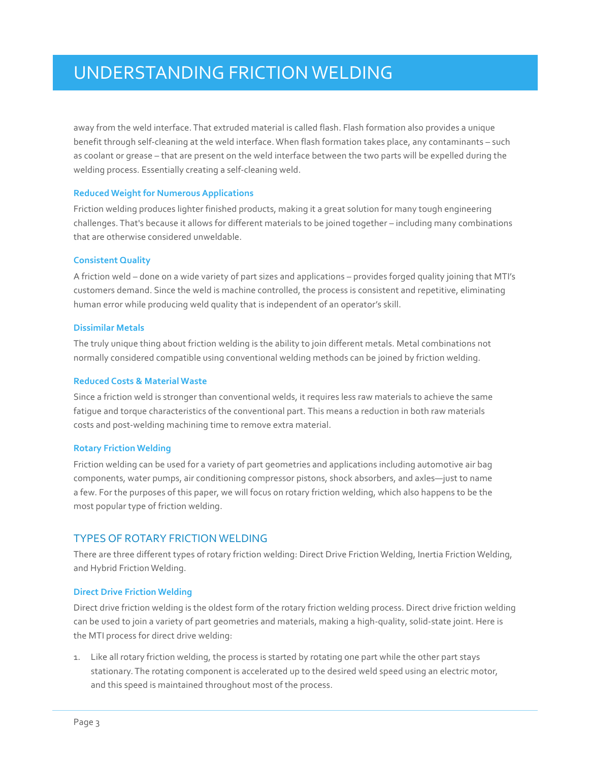<span id="page-4-0"></span>away from the weld interface. That extruded material is called flash. Flash formation also provides a unique benefit through self-cleaning at the weld interface. When flash formation takes place, any contaminants – such as coolant or grease – that are present on the weld interface between the two parts will be expelled during the welding process. Essentially creating a self-cleaning weld.

#### **Reduced Weight for Numerous Applications**

Friction welding produces lighter finished products, making it a great solution for many tough engineering challenges. That's because it allows for different materials to be joined together – including many combinations that are otherwise considered unweldable.

#### **Consistent Quality**

A friction weld – done on a wide variety of part sizes and applications – provides forged quality joining that MTI's customers demand. Since the weld is machine controlled, the process is consistent and repetitive, eliminating human error while producing weld quality that is independent of an operator's skill.

#### **Dissimilar Metals**

The truly unique thing about friction welding is the ability to join different metals. Metal combinations not normally considered compatible using conventional welding methods can be joined by friction welding.

#### **Reduced Costs & Material Waste**

Since a friction weld is stronger than conventional welds, it requires less raw materials to achieve the same fatigue and torque characteristics of the conventional part. This means a reduction in both raw materials costs and post-welding machining time to remove extra material.

#### **Rotary Friction Welding**

Friction welding can be used for a variety of part geometries and applications including automotive air bag components, water pumps, air conditioning compressor pistons, shock absorbers, and axles—just to name a few. For the purposes of this paper, we will focus on rotary friction welding, which also happens to be the most popular type of friction welding.

### TYPES OF ROTARY FRICTION WELDING

There are three different types of rotary friction welding: Direct Drive Friction Welding, Inertia Friction Welding, and Hybrid Friction Welding.

#### **Direct Drive Friction Welding**

Direct drive friction welding is the oldest form of the rotary friction welding process. Direct drive friction welding can be used to join a variety of part geometries and materials, making a high-quality, solid-state joint. Here is the MTI process for direct drive welding:

1. Like all rotary friction welding, the process is started by rotating one part while the other part stays stationary. The rotating component is accelerated up to the desired weld speed using an electric motor, and this speed is maintained throughout most of the process.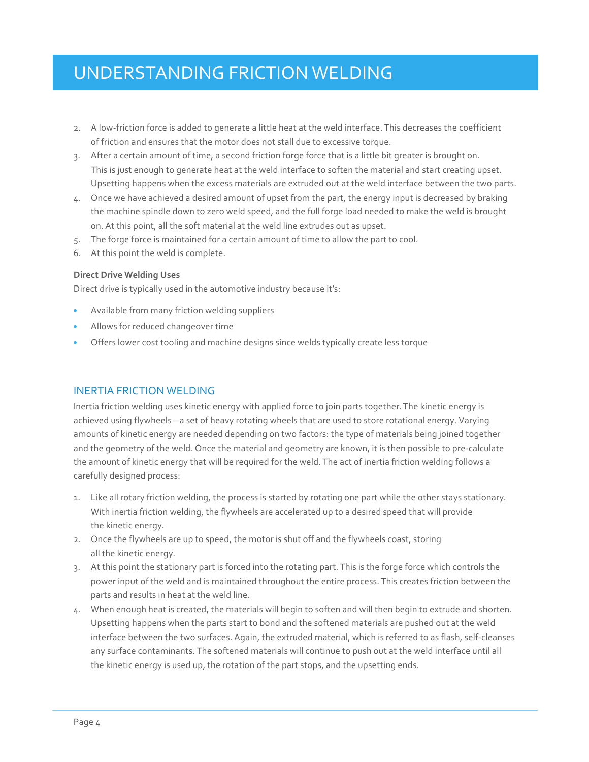- <span id="page-5-0"></span>2. A low-friction force is added to generate a little heat at the weld interface. This decreases the coefficient of friction and ensures that the motor does not stall due to excessive torque.
- 3. After a certain amount of time, a second friction forge force that is a little bit greater is brought on. This is just enough to generate heat at the weld interface to soften the material and start creating upset. Upsetting happens when the excess materials are extruded out at the weld interface between the two parts.
- 4. Once we have achieved a desired amount of upset from the part, the energy input is decreased by braking the machine spindle down to zero weld speed, and the full forge load needed to make the weld is brought on. At this point, all the soft material at the weld line extrudes out as upset.
- 5. The forge force is maintained for a certain amount of time to allow the part to cool.
- 6. At this point the weld is complete.

#### **Direct Drive Welding Uses**

Direct drive is typically used in the automotive industry because it's:

- Available from many friction welding suppliers
- Allows for reduced changeover time
- Offers lower cost tooling and machine designs since welds typically create less torque

### INERTIA FRICTION WELDING

Inertia friction welding uses kinetic energy with applied force to join parts together. The kinetic energy is achieved using flywheels—a set of heavy rotating wheels that are used to store rotational energy. Varying amounts of kinetic energy are needed depending on two factors: the type of materials being joined together and the geometry of the weld. Once the material and geometry are known, it is then possible to pre-calculate the amount of kinetic energy that will be required for the weld. The act of inertia friction welding follows a carefully designed process:

- 1. Like all rotary friction welding, the process is started by rotating one part while the other stays stationary. With inertia friction welding, the flywheels are accelerated up to a desired speed that will provide the kinetic energy.
- 2. Once the flywheels are up to speed, the motor is shut off and the flywheels coast, storing all the kinetic energy.
- 3. At this point the stationary part is forced into the rotating part. This is the forge force which controls the power input of the weld and is maintained throughout the entire process. This creates friction between the parts and results in heat at the weld line.
- 4. When enough heat is created, the materials will begin to soften and will then begin to extrude and shorten. Upsetting happens when the parts start to bond and the softened materials are pushed out at the weld interface between the two surfaces. Again, the extruded material, which is referred to as flash, self-cleanses any surface contaminants. The softened materials will continue to push out at the weld interface until all the kinetic energy is used up, the rotation of the part stops, and the upsetting ends.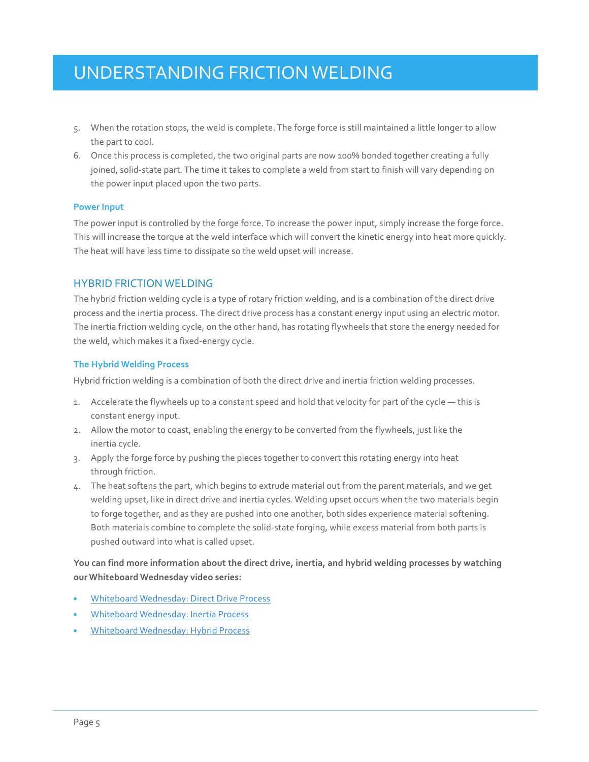- 5. When the rotation stops, the weld is complete. The forge force is still maintained a little longer to allow the part to cool.
- 6. Once this process is completed, the two original parts are now 100% bonded together creating a fully joined, solid-state part. The time it takes to complete a weld from start to finish will vary depending on the power input placed upon the two parts.

#### **Power Input**

The power input is controlled by the forge force. To increase the power input, simply increase the forge force. This will increase the torque at the weld interface which will convert the kinetic energy into heat more quickly. The heat will have less time to dissipate so the weld upset will increase.

### HYBRID FRICTION WELDING

The hybrid friction welding cycle is a type of rotary friction welding, and is a combination of the direct drive process and the inertia process. The direct drive process has a constant energy input using an electric motor. The inertia friction welding cycle, on the other hand, has rotating flywheels that store the energy needed for the weld, which makes it a fixed-energy cycle.

#### **The Hybrid Welding Process**

Hybrid friction welding is a combination of both the direct drive and inertia friction welding processes.

- 1. Accelerate the flywheels up to a constant speed and hold that velocity for part of the cycle this is constant energy input.
- 2. Allow the motor to coast, enabling the energy to be converted from the flywheels, just like the inertia cycle.
- 3. Apply the forge force by pushing the pieces together to convert this rotating energy into heat through friction.
- 4. The heat softens the part, which begins to extrude material out from the parent materials, and we get welding upset, like in direct drive and inertia cycles. Welding upset occurs when the two materials begin to forge together, and as they are pushed into one another, both sides experience material softening. Both materials combine to complete the solid-state forging, while excess material from both parts is pushed outward into what is called upset.

**You can find more information about the direct drive, inertia, and hybrid welding processes by watching our Whiteboard Wednesday video series:** 

- [Whiteboard Wednesday: Direct Drive Process](http://blog.mtiwelding.com/whiteboard-wednesday-direct-drive-process)
- [Whiteboard Wednesday: Inertia Process](http://blog.mtiwelding.com/whiteboard-wednesday-inertia-process)
- [Whiteboard Wednesday: Hybrid Process](http://blog.mtiwelding.com/whiteboard-wednesday-hybrid-process)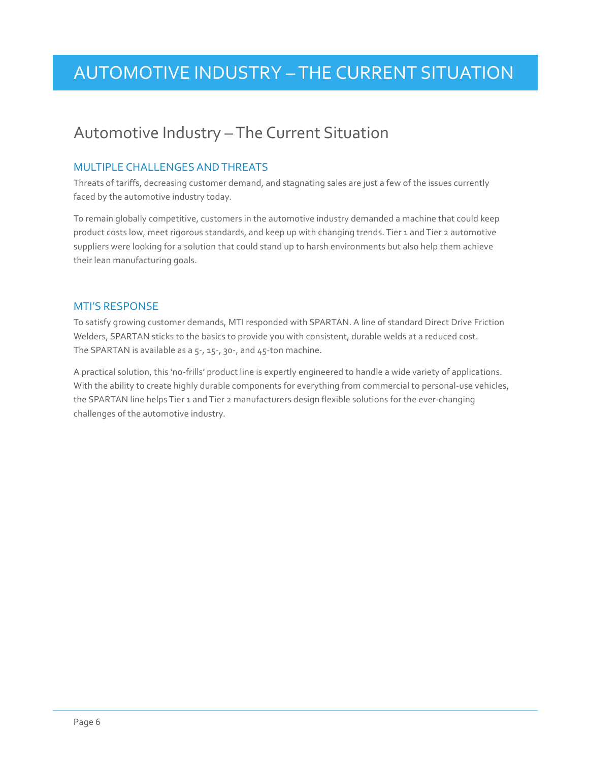# <span id="page-7-0"></span>AUTOMOTIVE INDUSTRY – THE CURRENT SITUATION

### Automotive Industry – The Current Situation

### MULTIPLE CHALLENGES AND THREATS

Threats of tariffs, decreasing customer demand, and stagnating sales are just a few of the issues currently faced by the automotive industry today.

To remain globally competitive, customers in the automotive industry demanded a machine that could keep product costs low, meet rigorous standards, and keep up with changing trends. Tier 1 and Tier 2 automotive suppliers were looking for a solution that could stand up to harsh environments but also help them achieve their lean manufacturing goals.

### MTI'S RESPONSE

To satisfy growing customer demands, MTI responded with SPARTAN. A line of standard Direct Drive Friction Welders, SPARTAN sticks to the basics to provide you with consistent, durable welds at a reduced cost. The SPARTAN is available as a 5-, 15-, 30-, and 45-ton machine.

A practical solution, this 'no-frills' product line is expertly engineered to handle a wide variety of applications. With the ability to create highly durable components for everything from commercial to personal-use vehicles, the SPARTAN line helps Tier 1 and Tier 2 manufacturers design flexible solutions for the ever-changing challenges of the automotive industry.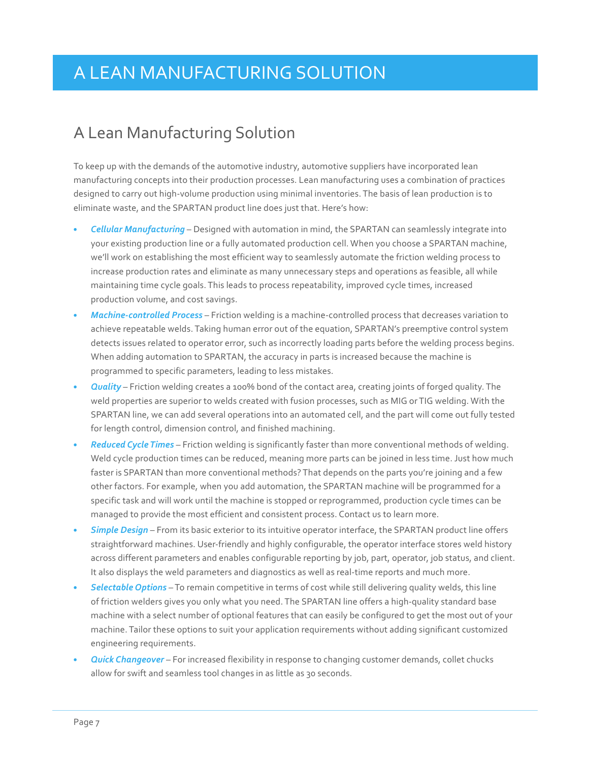## <span id="page-8-0"></span>A LEAN MANUFACTURING SOLUTION

### A Lean Manufacturing Solution

To keep up with the demands of the automotive industry, automotive suppliers have incorporated lean manufacturing concepts into their production processes. Lean manufacturing uses a combination of practices designed to carry out high-volume production using minimal inventories. The basis of lean production is to eliminate waste, and the SPARTAN product line does just that. Here's how:

- *Cellular Manufacturing* Designed with automation in mind, the SPARTAN can seamlessly integrate into your existing production line or a fully automated production cell. When you choose a SPARTAN machine, we'll work on establishing the most efficient way to seamlessly automate the friction welding process to increase production rates and eliminate as many unnecessary steps and operations as feasible, all while maintaining time cycle goals. This leads to process repeatability, improved cycle times, increased production volume, and cost savings.
- *Machine-controlled Process* Friction welding is a machine-controlled process that decreases variation to achieve repeatable welds. Taking human error out of the equation, SPARTAN's preemptive control system detects issues related to operator error, such as incorrectly loading parts before the welding process begins. When adding automation to SPARTAN, the accuracy in parts is increased because the machine is programmed to specific parameters, leading to less mistakes.
- *Quality* Friction welding creates a 100% bond of the contact area, creating joints of forged quality. The weld properties are superior to welds created with fusion processes, such as MIG or TIG welding. With the SPARTAN line, we can add several operations into an automated cell, and the part will come out fully tested for length control, dimension control, and finished machining.
- *Reduced Cycle Times* Friction welding is significantly faster than more conventional methods of welding. Weld cycle production times can be reduced, meaning more parts can be joined in less time. Just how much faster is SPARTAN than more conventional methods? That depends on the parts you're joining and a few other factors. For example, when you add automation, the SPARTAN machine will be programmed for a specific task and will work until the machine is stopped or reprogrammed, production cycle times can be managed to provide the most efficient and consistent process. Contact us to learn more.
- *Simple Design* From its basic exterior to its intuitive operator interface, the SPARTAN product line offers straightforward machines. User-friendly and highly configurable, the operator interface stores weld history across different parameters and enables configurable reporting by job, part, operator, job status, and client. It also displays the weld parameters and diagnostics as well as real-time reports and much more.
- *Selectable Options* To remain competitive in terms of cost while still delivering quality welds, this line of friction welders gives you only what you need. The SPARTAN line offers a high-quality standard base machine with a select number of optional features that can easily be configured to get the most out of your machine. Tailor these options to suit your application requirements without adding significant customized engineering requirements.
- *Quick Changeover* For increased flexibility in response to changing customer demands, collet chucks allow for swift and seamless tool changes in as little as 30 seconds.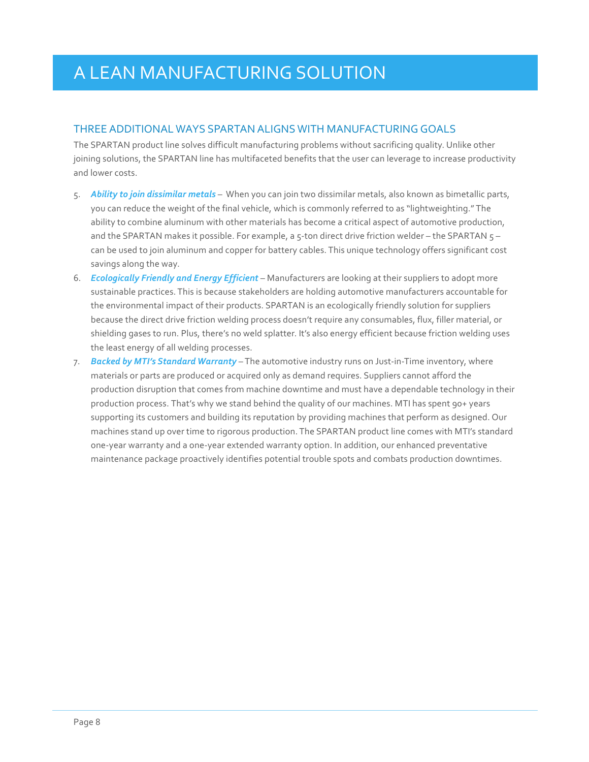# A LEAN MANUFACTURING SOLUTION

### THREE ADDITIONAL WAYS SPARTAN ALIGNS WITH MANUFACTURING GOALS

The SPARTAN product line solves difficult manufacturing problems without sacrificing quality. Unlike other joining solutions, the SPARTAN line has multifaceted benefits that the user can leverage to increase productivity and lower costs.

- 5. *Ability to join dissimilar metals* When you can join two dissimilar metals, also known as bimetallic parts, you can reduce the weight of the final vehicle, which is commonly referred to as "lightweighting." The ability to combine aluminum with other materials has become a critical aspect of automotive production, and the SPARTAN makes it possible. For example, a 5-ton direct drive friction welder – the SPARTAN  $5$ can be used to join aluminum and copper for battery cables. This unique technology offers significant cost savings along the way.
- 6. *Ecologically Friendly and Energy Efficient* Manufacturers are looking at their suppliers to adopt more sustainable practices. This is because stakeholders are holding automotive manufacturers accountable for the environmental impact of their products. SPARTAN is an ecologically friendly solution for suppliers because the direct drive friction welding process doesn't require any consumables, flux, filler material, or shielding gases to run. Plus, there's no weld splatter. It's also energy efficient because friction welding uses the least energy of all welding processes.
- 7. *Backed by MTI's Standard Warranty* The automotive industry runs on Just-in-Time inventory, where materials or parts are produced or acquired only as demand requires. Suppliers cannot afford the production disruption that comes from machine downtime and must have a dependable technology in their production process. That's why we stand behind the quality of our machines. MTI has spent 90+ years supporting its customers and building its reputation by providing machines that perform as designed. Our machines stand up over time to rigorous production. The SPARTAN product line comes with MTI's standard one-year warranty and a one-year extended warranty option. In addition, our enhanced preventative maintenance package proactively identifies potential trouble spots and combats production downtimes.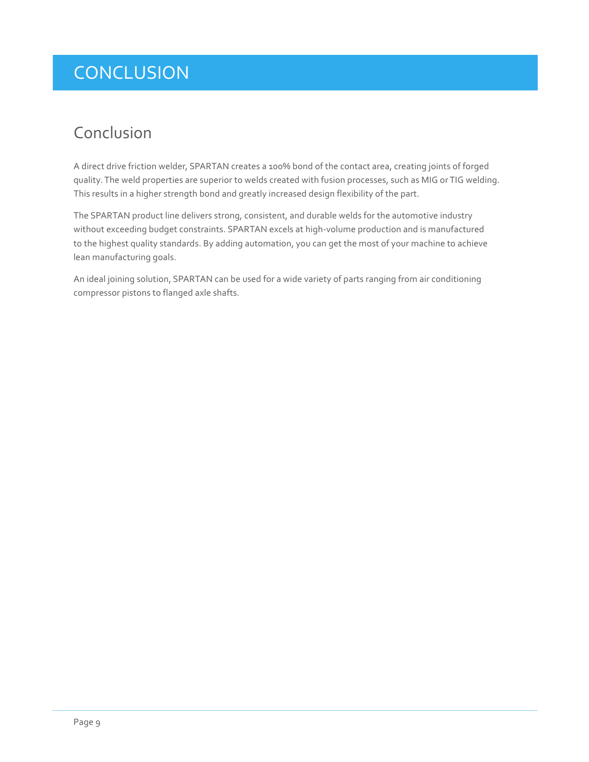# <span id="page-10-0"></span>**CONCLUSION**

### Conclusion

A direct drive friction welder, SPARTAN creates a 100% bond of the contact area, creating joints of forged quality. The weld properties are superior to welds created with fusion processes, such as MIG or TIG welding. This results in a higher strength bond and greatly increased design flexibility of the part.

The SPARTAN product line delivers strong, consistent, and durable welds for the automotive industry without exceeding budget constraints. SPARTAN excels at high-volume production and is manufactured to the highest quality standards. By adding automation, you can get the most of your machine to achieve lean manufacturing goals.

An ideal joining solution, SPARTAN can be used for a wide variety of parts ranging from air conditioning compressor pistons to flanged axle shafts.